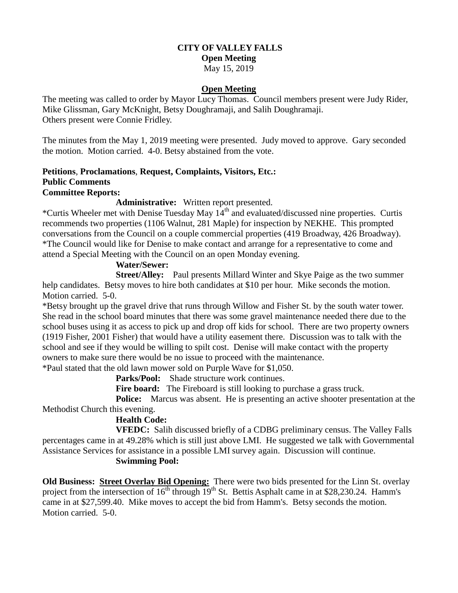# **CITY OF VALLEY FALLS Open Meeting**

## May 15, 2019

### **Open Meeting**

The meeting was called to order by Mayor Lucy Thomas. Council members present were Judy Rider, Mike Glissman, Gary McKnight, Betsy Doughramaji, and Salih Doughramaji. Others present were Connie Fridley.

The minutes from the May 1, 2019 meeting were presented. Judy moved to approve. Gary seconded the motion. Motion carried. 4-0. Betsy abstained from the vote.

#### **Petitions**, **Proclamations**, **Request, Complaints, Visitors, Etc.: Public Comments Committee Reports:**

#### **Administrative:** Written report presented.

\*Curtis Wheeler met with Denise Tuesday May  $14<sup>th</sup>$  and evaluated/discussed nine properties. Curtis recommends two properties (1106 Walnut, 281 Maple) for inspection by NEKHE. This prompted conversations from the Council on a couple commercial properties (419 Broadway, 426 Broadway). \*The Council would like for Denise to make contact and arrange for a representative to come and attend a Special Meeting with the Council on an open Monday evening.

### **Water/Sewer:**

**Street/Alley:** Paul presents Millard Winter and Skye Paige as the two summer help candidates. Betsy moves to hire both candidates at \$10 per hour. Mike seconds the motion. Motion carried. 5-0.

\*Betsy brought up the gravel drive that runs through Willow and Fisher St. by the south water tower. She read in the school board minutes that there was some gravel maintenance needed there due to the school buses using it as access to pick up and drop off kids for school. There are two property owners (1919 Fisher, 2001 Fisher) that would have a utility easement there. Discussion was to talk with the school and see if they would be willing to spilt cost. Denise will make contact with the property owners to make sure there would be no issue to proceed with the maintenance. \*Paul stated that the old lawn mower sold on Purple Wave for \$1,050.

**Parks/Pool:** Shade structure work continues.

Fire board: The Fireboard is still looking to purchase a grass truck.

**Police:** Marcus was absent. He is presenting an active shooter presentation at the Methodist Church this evening.

## **Health Code:**

**VFEDC:** Salih discussed briefly of a CDBG preliminary census. The Valley Falls percentages came in at 49.28% which is still just above LMI. He suggested we talk with Governmental Assistance Services for assistance in a possible LMI survey again. Discussion will continue.

### **Swimming Pool:**

**Old Business: Street Overlay Bid Opening:** There were two bids presented for the Linn St. overlay project from the intersection of  $16<sup>th</sup>$  through  $19<sup>th</sup>$  St. Bettis Asphalt came in at \$28,230.24. Hamm's came in at \$27,599.40. Mike moves to accept the bid from Hamm's. Betsy seconds the motion. Motion carried. 5-0.